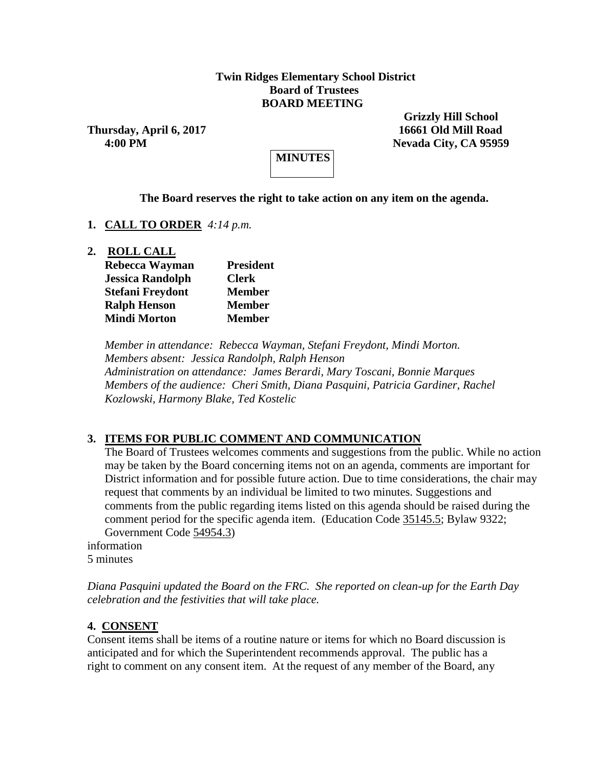### **Twin Ridges Elementary School District Board of Trustees BOARD MEETING**

**Thursday, April 6, 2017 16661 Old Mill Road**

 **Grizzly Hill School 4:00 PM Nevada City, CA 95959**

**MINUTES**

### **The Board reserves the right to take action on any item on the agenda.**

- **1. CALL TO ORDER** *4:14 p.m.*
- **2. ROLL CALL**

| Rebecca Wayman          | <b>President</b> |
|-------------------------|------------------|
| <b>Jessica Randolph</b> | <b>Clerk</b>     |
| <b>Stefani Freydont</b> | <b>Member</b>    |
| <b>Ralph Henson</b>     | <b>Member</b>    |
| <b>Mindi Morton</b>     | <b>Member</b>    |

*Member in attendance: Rebecca Wayman, Stefani Freydont, Mindi Morton. Members absent: Jessica Randolph, Ralph Henson Administration on attendance: James Berardi, Mary Toscani, Bonnie Marques Members of the audience: Cheri Smith, Diana Pasquini, Patricia Gardiner, Rachel Kozlowski, Harmony Blake, Ted Kostelic*

### **3. ITEMS FOR PUBLIC COMMENT AND COMMUNICATION**

The Board of Trustees welcomes comments and suggestions from the public. While no action may be taken by the Board concerning items not on an agenda, comments are important for District information and for possible future action. Due to time considerations, the chair may request that comments by an individual be limited to two minutes. Suggestions and comments from the public regarding items listed on this agenda should be raised during the comment period for the specific agenda item. (Education Code 35145.5; Bylaw 9322; Government Code 54954.3)

information 5 minutes

*Diana Pasquini updated the Board on the FRC. She reported on clean-up for the Earth Day celebration and the festivities that will take place.* 

### **4. CONSENT**

Consent items shall be items of a routine nature or items for which no Board discussion is anticipated and for which the Superintendent recommends approval. The public has a right to comment on any consent item. At the request of any member of the Board, any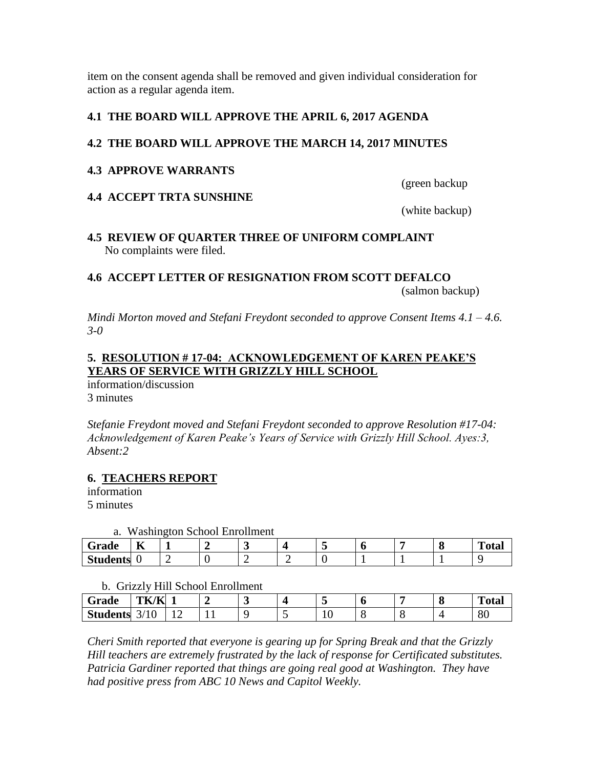item on the consent agenda shall be removed and given individual consideration for action as a regular agenda item.

# **4.1 THE BOARD WILL APPROVE THE APRIL 6, 2017 AGENDA**

## **4.2 THE BOARD WILL APPROVE THE MARCH 14, 2017 MINUTES**

### **4.3 APPROVE WARRANTS**

(green backup

## **4.4 ACCEPT TRTA SUNSHINE**

(white backup)

## **4.5 REVIEW OF QUARTER THREE OF UNIFORM COMPLAINT** No complaints were filed.

# **4.6 ACCEPT LETTER OF RESIGNATION FROM SCOTT DEFALCO**

(salmon backup)

*Mindi Morton moved and Stefani Freydont seconded to approve Consent Items 4.1 – 4.6. 3-0*

# **5. RESOLUTION # 17-04: ACKNOWLEDGEMENT OF KAREN PEAKE'S YEARS OF SERVICE WITH GRIZZLY HILL SCHOOL**

information/discussion 3 minutes

*Stefanie Freydont moved and Stefani Freydont seconded to approve Resolution #17-04: Acknowledgement of Karen Peake's Years of Service with Grizzly Hill School. Ayes:3, Absent:2*

# **6. TEACHERS REPORT**

information 5 minutes

a. Washington School Enrollment

| $\tilde{\phantom{a}}$<br>Grade | $\mathbf{r}$<br>A | $\check{~}$ | . . |  |  | m<br>`otal |
|--------------------------------|-------------------|-------------|-----|--|--|------------|
| <b>Students</b>                | ີ                 | -           | ∼   |  |  |            |

### b. Grizzly Hill School Enrollment

| Grade           | TK/K           |                 |   | - |                  | O | о | m<br>Total |
|-----------------|----------------|-----------------|---|---|------------------|---|---|------------|
| <b>Students</b> | <b>IV</b><br>້ | $\epsilon$<br>∸ | - |   | $\sqrt{ }$<br>ΙV |   |   | 80         |

*Cheri Smith reported that everyone is gearing up for Spring Break and that the Grizzly Hill teachers are extremely frustrated by the lack of response for Certificated substitutes. Patricia Gardiner reported that things are going real good at Washington. They have had positive press from ABC 10 News and Capitol Weekly.*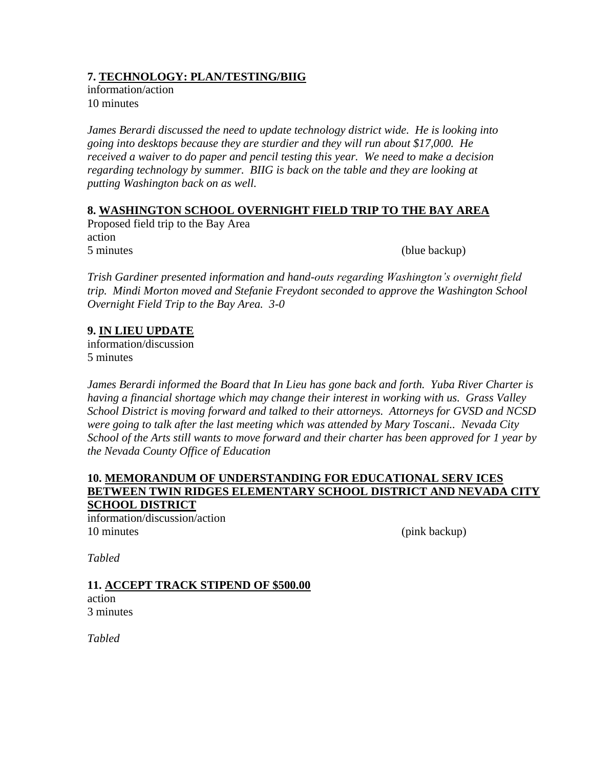# **7. TECHNOLOGY: PLAN/TESTING/BIIG**

information/action 10 minutes

*James Berardi discussed the need to update technology district wide. He is looking into going into desktops because they are sturdier and they will run about \$17,000. He received a waiver to do paper and pencil testing this year. We need to make a decision regarding technology by summer. BIIG is back on the table and they are looking at putting Washington back on as well.*

# **8. WASHINGTON SCHOOL OVERNIGHT FIELD TRIP TO THE BAY AREA**

Proposed field trip to the Bay Area action 5 minutes (blue backup)

*Trish Gardiner presented information and hand-outs regarding Washington's overnight field trip. Mindi Morton moved and Stefanie Freydont seconded to approve the Washington School Overnight Field Trip to the Bay Area. 3-0*

## **9. IN LIEU UPDATE**

information/discussion 5 minutes

*James Berardi informed the Board that In Lieu has gone back and forth. Yuba River Charter is having a financial shortage which may change their interest in working with us. Grass Valley School District is moving forward and talked to their attorneys. Attorneys for GVSD and NCSD were going to talk after the last meeting which was attended by Mary Toscani.. Nevada City School of the Arts still wants to move forward and their charter has been approved for 1 year by the Nevada County Office of Education*

#### **10. MEMORANDUM OF UNDERSTANDING FOR EDUCATIONAL SERV ICES BETWEEN TWIN RIDGES ELEMENTARY SCHOOL DISTRICT AND NEVADA CITY SCHOOL DISTRICT**

information/discussion/action 10 minutes (pink backup)

*Tabled*

**11. ACCEPT TRACK STIPEND OF \$500.00** action 3 minutes

*Tabled*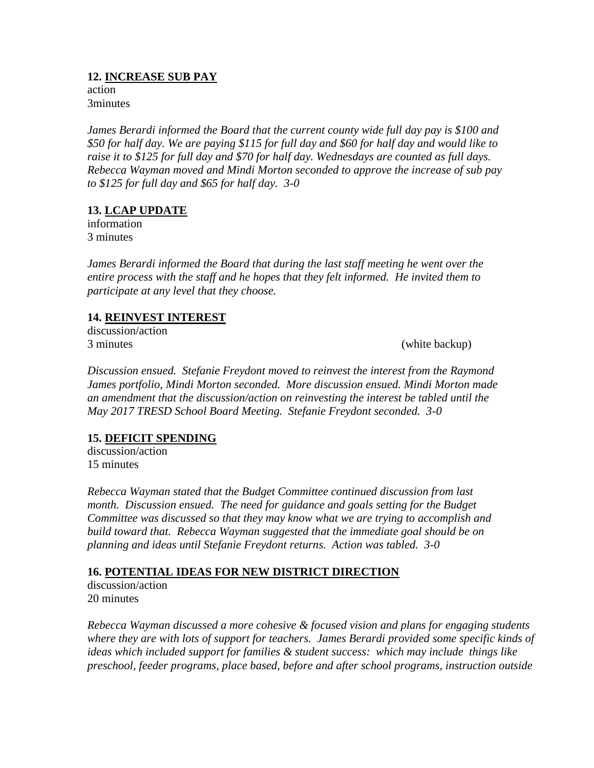## **12. INCREASE SUB PAY**

action 3minutes

*James Berardi informed the Board that the current county wide full day pay is \$100 and \$50 for half day. We are paying \$115 for full day and \$60 for half day and would like to raise it to \$125 for full day and \$70 for half day. Wednesdays are counted as full days. Rebecca Wayman moved and Mindi Morton seconded to approve the increase of sub pay to \$125 for full day and \$65 for half day. 3-0*

# **13. LCAP UPDATE**

information 3 minutes

*James Berardi informed the Board that during the last staff meeting he went over the entire process with the staff and he hopes that they felt informed. He invited them to participate at any level that they choose.* 

## **14. REINVEST INTEREST**

discussion/action 3 minutes (white backup)

*Discussion ensued. Stefanie Freydont moved to reinvest the interest from the Raymond James portfolio, Mindi Morton seconded. More discussion ensued. Mindi Morton made an amendment that the discussion/action on reinvesting the interest be tabled until the May 2017 TRESD School Board Meeting. Stefanie Freydont seconded. 3-0*

# **15. DEFICIT SPENDING**

discussion/action 15 minutes

*Rebecca Wayman stated that the Budget Committee continued discussion from last month. Discussion ensued. The need for guidance and goals setting for the Budget Committee was discussed so that they may know what we are trying to accomplish and build toward that. Rebecca Wayman suggested that the immediate goal should be on planning and ideas until Stefanie Freydont returns. Action was tabled. 3-0*

# **16. POTENTIAL IDEAS FOR NEW DISTRICT DIRECTION**

discussion/action 20 minutes

*Rebecca Wayman discussed a more cohesive & focused vision and plans for engaging students where they are with lots of support for teachers. James Berardi provided some specific kinds of ideas which included support for families & student success: which may include things like preschool, feeder programs, place based, before and after school programs, instruction outside*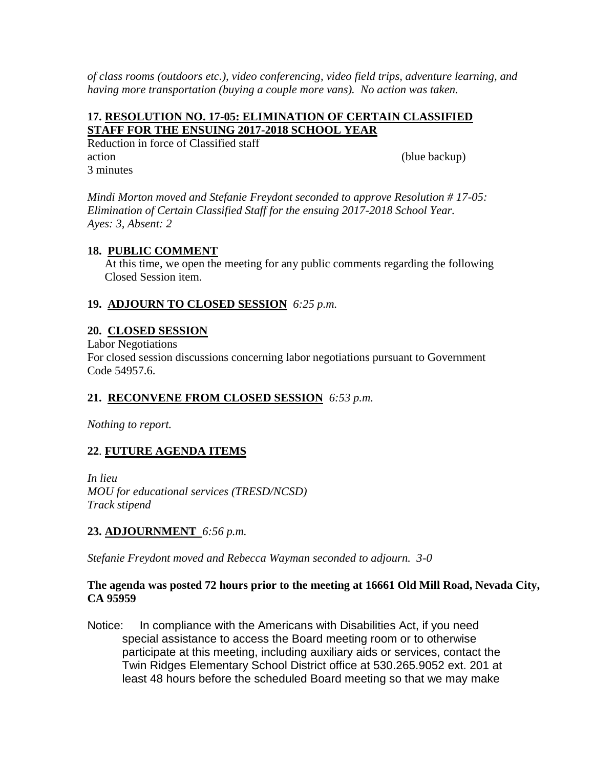*of class rooms (outdoors etc.), video conferencing, video field trips, adventure learning, and having more transportation (buying a couple more vans). No action was taken.*

## **17. RESOLUTION NO. 17-05: ELIMINATION OF CERTAIN CLASSIFIED STAFF FOR THE ENSUING 2017-2018 SCHOOL YEAR**

Reduction in force of Classified staff action (blue backup) (blue backup) 3 minutes

*Mindi Morton moved and Stefanie Freydont seconded to approve Resolution # 17-05: Elimination of Certain Classified Staff for the ensuing 2017-2018 School Year. Ayes: 3, Absent: 2*

## **18. PUBLIC COMMENT**

At this time, we open the meeting for any public comments regarding the following Closed Session item.

# **19. ADJOURN TO CLOSED SESSION** *6:25 p.m.*

### **20. CLOSED SESSION**

Labor Negotiations

For closed session discussions concerning labor negotiations pursuant to Government Code 54957.6.

# **21. RECONVENE FROM CLOSED SESSION** *6:53 p.m.*

*Nothing to report.*

# **22**. **FUTURE AGENDA ITEMS**

*In lieu MOU for educational services (TRESD/NCSD) Track stipend*

### **23. ADJOURNMENT** *6:56 p.m.*

*Stefanie Freydont moved and Rebecca Wayman seconded to adjourn. 3-0*

### **The agenda was posted 72 hours prior to the meeting at 16661 Old Mill Road, Nevada City, CA 95959**

Notice: In compliance with the Americans with Disabilities Act, if you need special assistance to access the Board meeting room or to otherwise participate at this meeting, including auxiliary aids or services, contact the Twin Ridges Elementary School District office at 530.265.9052 ext. 201 at least 48 hours before the scheduled Board meeting so that we may make